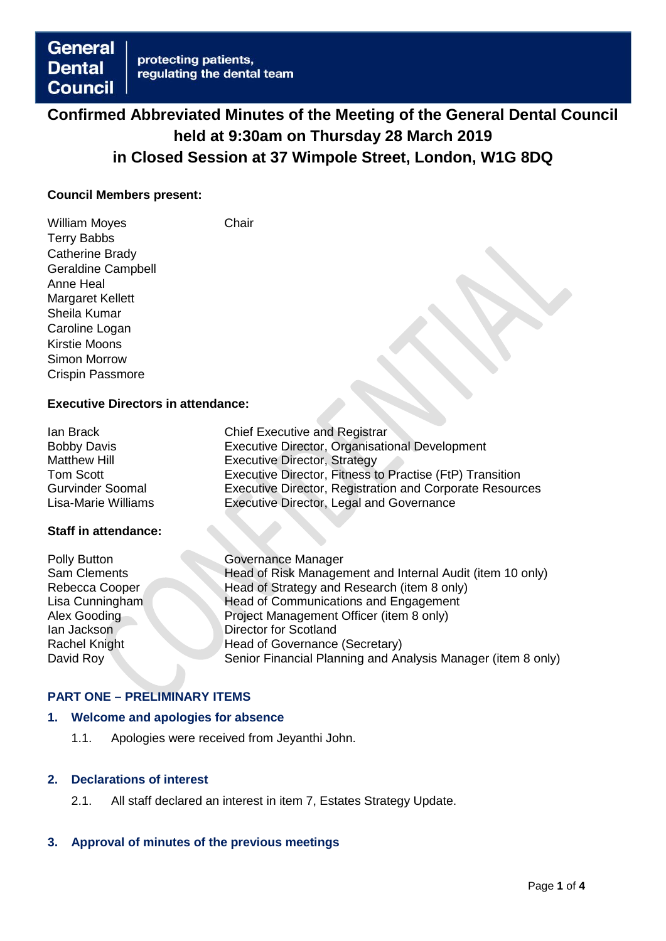# **Confirmed Abbreviated Minutes of the Meeting of the General Dental Council held at 9:30am on Thursday 28 March 2019 in Closed Session at 37 Wimpole Street, London, W1G 8DQ**

#### **Council Members present:**

William Moyes **Chair** Terry Babbs Catherine Brady Geraldine Campbell Anne Heal Margaret Kellett Sheila Kumar Caroline Logan Kirstie Moons Simon Morrow Crispin Passmore

## **Executive Directors in attendance:**

| lan Brack                  | <b>Chief Executive and Registrar</b>                     |
|----------------------------|----------------------------------------------------------|
| <b>Bobby Davis</b>         | Executive Director, Organisational Development           |
| <b>Matthew Hill</b>        | <b>Executive Director, Strategy</b>                      |
| Tom Scott                  | Executive Director, Fitness to Practise (FtP) Transition |
| <b>Gurvinder Soomal</b>    | Executive Director, Registration and Corporate Resources |
| <b>Lisa-Marie Williams</b> | Executive Director, Legal and Governance                 |

#### **Staff in attendance:**

| Polly Button         | <b>Governance Manager</b>                                    |
|----------------------|--------------------------------------------------------------|
| Sam Clements         | Head of Risk Management and Internal Audit (item 10 only)    |
| Rebecca Cooper       | Head of Strategy and Research (item 8 only)                  |
| Lisa Cunningham      | Head of Communications and Engagement                        |
| Alex Gooding         | Project Management Officer (item 8 only)                     |
| lan Jackson          | <b>Director for Scotland</b>                                 |
| <b>Rachel Knight</b> | Head of Governance (Secretary)                               |
| David Roy            | Senior Financial Planning and Analysis Manager (item 8 only) |
|                      |                                                              |

#### **PART ONE – PRELIMINARY ITEMS**

### **1. Welcome and apologies for absence**

1.1. Apologies were received from Jeyanthi John.

#### **2. Declarations of interest**

2.1. All staff declared an interest in item 7, Estates Strategy Update.

#### **3. Approval of minutes of the previous meetings**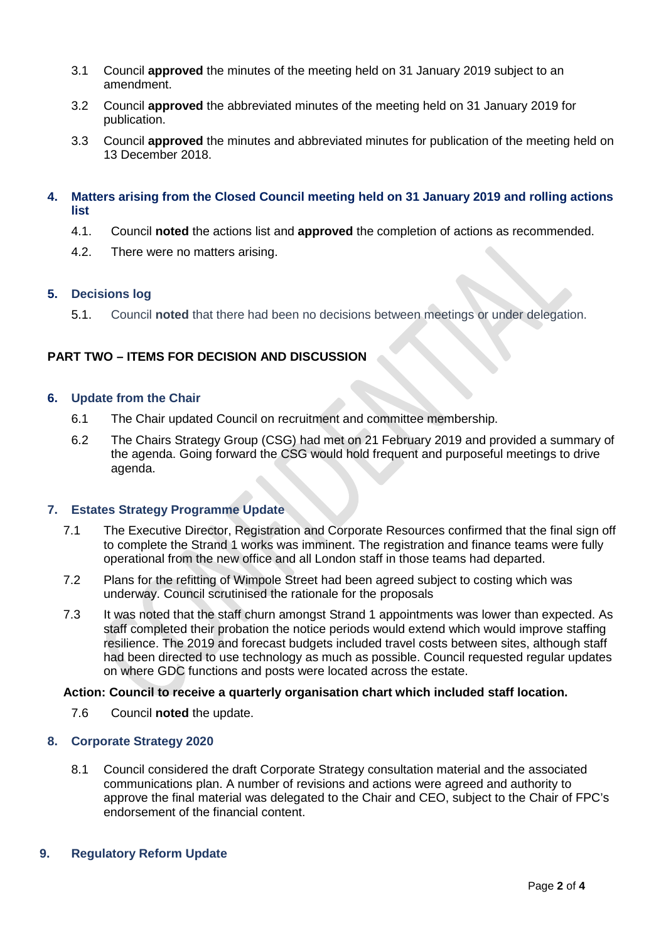- 3.1 Council **approved** the minutes of the meeting held on 31 January 2019 subject to an amendment.
- 3.2 Council **approved** the abbreviated minutes of the meeting held on 31 January 2019 for publication.
- 3.3 Council **approved** the minutes and abbreviated minutes for publication of the meeting held on 13 December 2018.

#### **4. Matters arising from the Closed Council meeting held on 31 January 2019 and rolling actions list**

- 4.1. Council **noted** the actions list and **approved** the completion of actions as recommended.
- 4.2. There were no matters arising.

## **5. Decisions log**

5.1. Council **noted** that there had been no decisions between meetings or under delegation.

## **PART TWO – ITEMS FOR DECISION AND DISCUSSION**

#### **6. Update from the Chair**

- 6.1 The Chair updated Council on recruitment and committee membership.
- 6.2 The Chairs Strategy Group (CSG) had met on 21 February 2019 and provided a summary of the agenda. Going forward the CSG would hold frequent and purposeful meetings to drive agenda.

## **7. Estates Strategy Programme Update**

- 7.1 The Executive Director, Registration and Corporate Resources confirmed that the final sign off to complete the Strand 1 works was imminent. The registration and finance teams were fully operational from the new office and all London staff in those teams had departed.
- 7.2 Plans for the refitting of Wimpole Street had been agreed subject to costing which was underway. Council scrutinised the rationale for the proposals
- 7.3 It was noted that the staff churn amongst Strand 1 appointments was lower than expected. As staff completed their probation the notice periods would extend which would improve staffing resilience. The 2019 and forecast budgets included travel costs between sites, although staff had been directed to use technology as much as possible. Council requested regular updates on where GDC functions and posts were located across the estate.

#### **Action: Council to receive a quarterly organisation chart which included staff location.**

7.6 Council **noted** the update.

#### **8. Corporate Strategy 2020**

8.1 Council considered the draft Corporate Strategy consultation material and the associated communications plan. A number of revisions and actions were agreed and authority to approve the final material was delegated to the Chair and CEO, subject to the Chair of FPC's endorsement of the financial content.

#### **9. Regulatory Reform Update**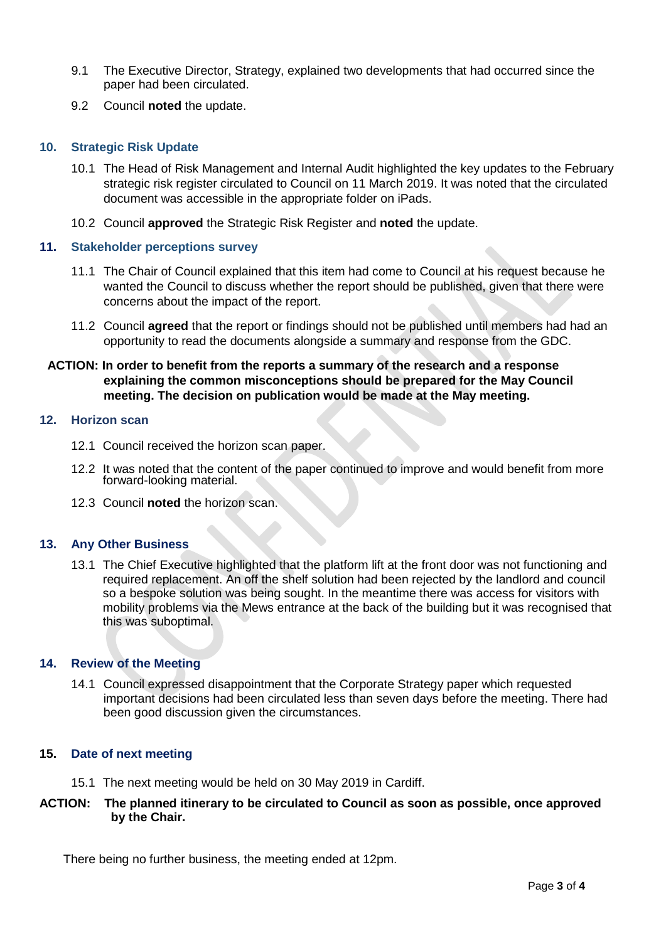- 9.1 The Executive Director, Strategy, explained two developments that had occurred since the paper had been circulated.
- 9.2 Council **noted** the update.

#### **10. Strategic Risk Update**

- 10.1 The Head of Risk Management and Internal Audit highlighted the key updates to the February strategic risk register circulated to Council on 11 March 2019. It was noted that the circulated document was accessible in the appropriate folder on iPads.
- 10.2 Council **approved** the Strategic Risk Register and **noted** the update.

#### **11. Stakeholder perceptions survey**

- 11.1 The Chair of Council explained that this item had come to Council at his request because he wanted the Council to discuss whether the report should be published, given that there were concerns about the impact of the report.
- 11.2 Council **agreed** that the report or findings should not be published until members had had an opportunity to read the documents alongside a summary and response from the GDC.

## **ACTION: In order to benefit from the reports a summary of the research and a response explaining the common misconceptions should be prepared for the May Council meeting. The decision on publication would be made at the May meeting.**

#### **12. Horizon scan**

- 12.1 Council received the horizon scan paper.
- 12.2 It was noted that the content of the paper continued to improve and would benefit from more forward-looking material.
- 12.3 Council **noted** the horizon scan.

## **13. Any Other Business**

13.1 The Chief Executive highlighted that the platform lift at the front door was not functioning and required replacement. An off the shelf solution had been rejected by the landlord and council so a bespoke solution was being sought. In the meantime there was access for visitors with mobility problems via the Mews entrance at the back of the building but it was recognised that this was suboptimal.

#### **14. Review of the Meeting**

14.1 Council expressed disappointment that the Corporate Strategy paper which requested important decisions had been circulated less than seven days before the meeting. There had been good discussion given the circumstances.

#### **15. Date of next meeting**

15.1 The next meeting would be held on 30 May 2019 in Cardiff.

## **ACTION: The planned itinerary to be circulated to Council as soon as possible, once approved by the Chair.**

There being no further business, the meeting ended at 12pm.